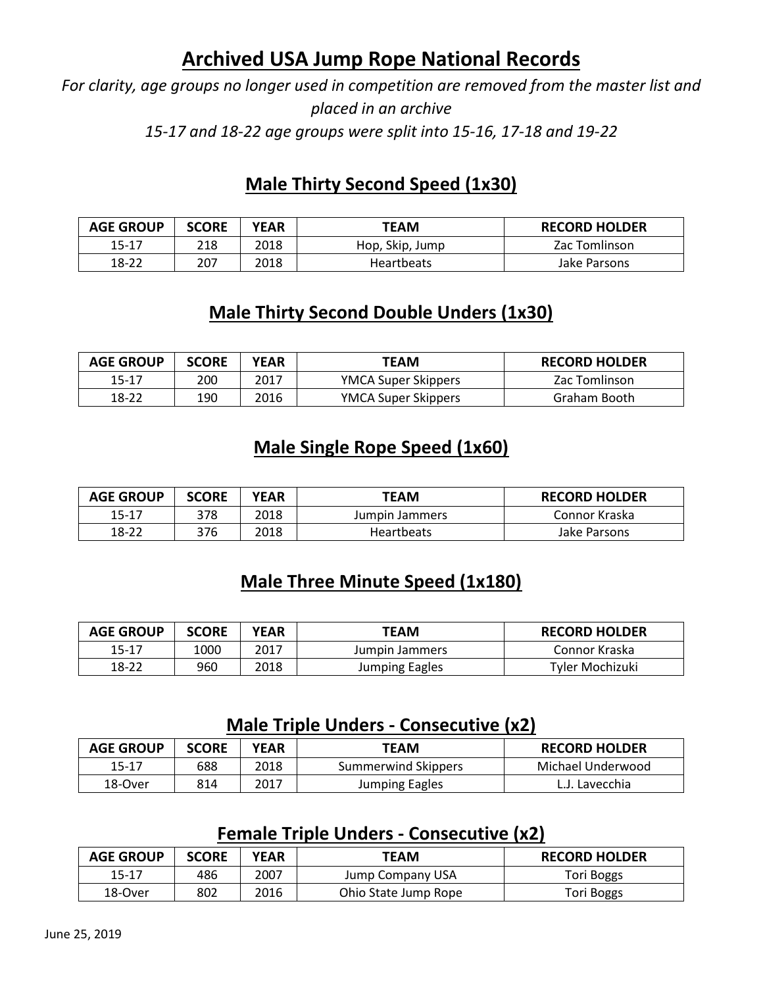# **Archived USA Jump Rope National Records**

*For clarity, age groups no longer used in competition are removed from the master list and placed in an archive 15-17 and 18-22 age groups were split into 15-16, 17-18 and 19-22*

## **Male Thirty Second Speed (1x30)**

| <b>AGE GROUP</b> | <b>SCORE</b> | YEAR | TEAM              | <b>RECORD HOLDER</b> |
|------------------|--------------|------|-------------------|----------------------|
| 15-17            | 218          | 2018 | Hop, Skip, Jump   | Zac Tomlinson        |
| 18-22            | 207          | 2018 | <b>Heartbeats</b> | Jake Parsons         |

### **Male Thirty Second Double Unders (1x30)**

| <b>AGE GROUP</b> | <b>SCORE</b> | YEAR | TEAM                       | <b>RECORD HOLDER</b> |
|------------------|--------------|------|----------------------------|----------------------|
| 15-17            | 200          | 2017 | <b>YMCA Super Skippers</b> | Zac Tomlinson        |
| 18-22            | 190          | 2016 | <b>YMCA Super Skippers</b> | Graham Booth         |

### **Male Single Rope Speed (1x60)**

| <b>AGE GROUP</b> | <b>SCORE</b> | YEAR | TEAM              | <b>RECORD HOLDER</b> |
|------------------|--------------|------|-------------------|----------------------|
| 15-17            | 378          | 2018 | Jumpin Jammers    | Connor Kraska        |
| 18-22            | 376          | 2018 | <b>Heartbeats</b> | Jake Parsons         |

# **Male Three Minute Speed (1x180)**

| <b>AGE GROUP</b> | <b>SCORE</b> | <b>YEAR</b> | TEAM           | <b>RECORD HOLDER</b> |
|------------------|--------------|-------------|----------------|----------------------|
| 15-17            | 000ء         | 2017        | Jumpin Jammers | Connor Kraska        |
| 18-22            | 960          | 2018        | Jumping Eagles | Tyler Mochizuki      |

### **Male Triple Unders - Consecutive (x2)**

| <b>AGE GROUP</b> | <b>SCORE</b> | YEAR | TEAM                | <b>RECORD HOLDER</b> |
|------------------|--------------|------|---------------------|----------------------|
| 15-17            | 688          | 2018 | Summerwind Skippers | Michael Underwood    |
| 18-Over          | 814          | 2017 | Jumping Eagles      | L.J. Lavecchia       |

#### **Female Triple Unders - Consecutive (x2)**

| <b>AGE GROUP</b> | <b>SCORE</b> | YEAR | TEAM                 | <b>RECORD HOLDER</b> |
|------------------|--------------|------|----------------------|----------------------|
| 15-17            | 486          | 2007 | Jump Company USA     | Tori Boggs           |
| 18-Over          | 802          | 2016 | Ohio State Jump Rope | Tori Boggs           |